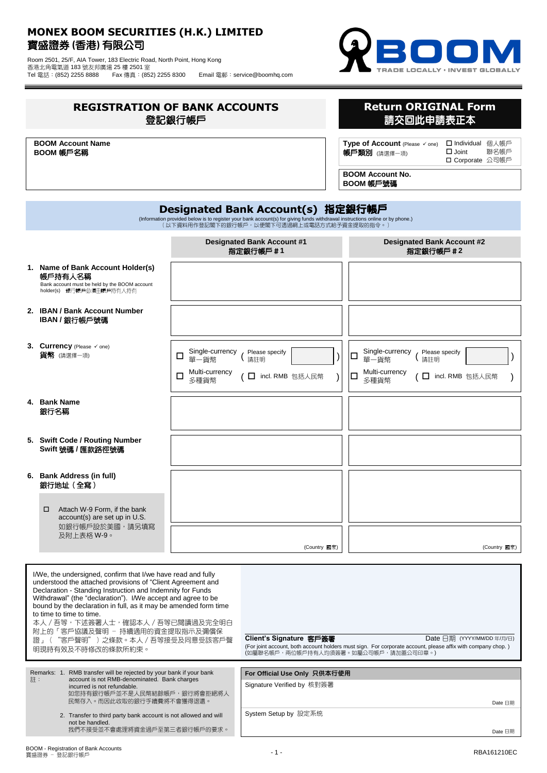## **MONEX BOOM SECURITIES (H.K.) LIMITED** 寶盛證券 **(**香港**)** 有限公司

Room 2501, 25/F, AIA Tower, 183 Electric Road, North Point, Hong Kong 香港北角電氣道 183 號友邦廣場 25 樓 2501 室 Tel 電話:(852) 2255 8888 Fax 傳真:(852) 2255 8300 Email 電郵:service@boomhq.com



| <b>REGISTRATION OF BANK ACCOUNTS</b><br>登記銀行帳戶                                                                                                                                                                                                                                                                                                                                                                                                                                                                                                                 |                              |                                                            |                                                                                                                 | <b>Return ORIGINAL Form</b><br>請交回此申請表正本                                                                                                                                          |
|----------------------------------------------------------------------------------------------------------------------------------------------------------------------------------------------------------------------------------------------------------------------------------------------------------------------------------------------------------------------------------------------------------------------------------------------------------------------------------------------------------------------------------------------------------------|------------------------------|------------------------------------------------------------|-----------------------------------------------------------------------------------------------------------------|-----------------------------------------------------------------------------------------------------------------------------------------------------------------------------------|
| <b>BOOM Account Name</b><br>BOOM 帳戶名稱                                                                                                                                                                                                                                                                                                                                                                                                                                                                                                                          |                              |                                                            | Type of Account (Please √ one)<br>□ Individual 個人帳戶<br>$\Box$ Joint<br>聯名帳戶<br>帳戶類別 (請選擇一項)<br>□ Corporate 公司帳戶 |                                                                                                                                                                                   |
|                                                                                                                                                                                                                                                                                                                                                                                                                                                                                                                                                                |                              |                                                            |                                                                                                                 | <b>BOOM Account No.</b><br>BOOM 帳戶號碼                                                                                                                                              |
| Designated Bank Account(s) 指定銀行帳戶<br>(Information provided below is to register your bank account(s) for giving funds withdrawal instructions online or by phone.)<br>(以下資料用作登記閣下的銀行帳戶,以便閣下可透過網上或電話方式給予資金提取的指令。)                                                                                                                                                                                                                                                                                                                                               |                              |                                                            |                                                                                                                 |                                                                                                                                                                                   |
|                                                                                                                                                                                                                                                                                                                                                                                                                                                                                                                                                                |                              | <b>Designated Bank Account #1</b><br>指定銀行帳戶#1              |                                                                                                                 | <b>Designated Bank Account #2</b><br>指定銀行帳戶 #2                                                                                                                                    |
| 1. Name of Bank Account Holder(s)<br>帳戶持有人名稱<br>Bank account must be held by the BOOM account<br>holder(s) 銀行帳戶必須由帳戶持有人持有                                                                                                                                                                                                                                                                                                                                                                                                                                      |                              |                                                            |                                                                                                                 |                                                                                                                                                                                   |
| 2. IBAN / Bank Account Number<br>IBAN / 銀行帳戶號碼                                                                                                                                                                                                                                                                                                                                                                                                                                                                                                                 |                              |                                                            |                                                                                                                 |                                                                                                                                                                                   |
| 3. Currency (Please v one)<br>貨幣 (請選擇一項)                                                                                                                                                                                                                                                                                                                                                                                                                                                                                                                       | Single-currency<br>□<br>單一貨幣 | Please specify<br>請註明                                      |                                                                                                                 | Single-currency<br>Please specify<br>□<br>請註明<br>單一貨幣                                                                                                                             |
|                                                                                                                                                                                                                                                                                                                                                                                                                                                                                                                                                                | Multi-currency<br>□<br>多種貨幣  | □ incl. RMB 包括人民幣                                          |                                                                                                                 | Multi-currency<br>□<br>□ incl. RMB 包括人民幣<br>多種貨幣                                                                                                                                  |
| 4. Bank Name<br>銀行名稱                                                                                                                                                                                                                                                                                                                                                                                                                                                                                                                                           |                              |                                                            |                                                                                                                 |                                                                                                                                                                                   |
| 5. Swift Code / Routing Number<br>Swift 號碼 / 匯款路徑號碼                                                                                                                                                                                                                                                                                                                                                                                                                                                                                                            |                              |                                                            |                                                                                                                 |                                                                                                                                                                                   |
| 6. Bank Address (in full)<br>銀行地址(全寫)                                                                                                                                                                                                                                                                                                                                                                                                                                                                                                                          |                              |                                                            |                                                                                                                 |                                                                                                                                                                                   |
| Attach W-9 Form, if the bank<br>□<br>account(s) are set up in U.S.<br>如銀行帳戶設於美國,請另填寫                                                                                                                                                                                                                                                                                                                                                                                                                                                                           |                              |                                                            |                                                                                                                 |                                                                                                                                                                                   |
| 及附上表格 W-9。                                                                                                                                                                                                                                                                                                                                                                                                                                                                                                                                                     |                              | (Country 國家)                                               |                                                                                                                 | (Country 國家)                                                                                                                                                                      |
| I/We, the undersigned, confirm that I/we have read and fully<br>understood the attached provisions of "Client Agreement and<br>Declaration - Standing Instruction and Indemnity for Funds<br>Withdrawal" (the "declaration"). I/We accept and agree to be<br>bound by the declaration in full, as it may be amended form time<br>to time to time to time.<br>本人 / 吾等,下述簽署人士,確認本人 / 吾等已閱讀過及完全明白<br>附上的「客戶協議及聲明 - 持續適用的資金提取指示及彌償保<br>證」("客戶聲明")之條款。本人 / 吾等接受及同意受該客戶聲<br>明現時有效及不時修改的條款所約束。<br>Remarks: 1. RMB transfer will be rejected by your bank if your bank |                              | Client's Signature 客戶簽署                                    |                                                                                                                 | Date 日期 (YYYY/MM/DD 年/月/日)<br>(For joint account, both account holders must sign. For corporate account, please affix with company chop.)<br>(如屬聯名帳戶,兩位帳戶持有人均須簽署。如屬公司帳戶,請加蓋公司印章。) |
| account is not RMB-denominated. Bank charges<br>註:<br>incurred is not refundable.<br>如您持有銀行帳戶並不是人民幣結餘帳戶,銀行將會拒絕將人<br>民幣存入。而因此收取的銀行手續費將不會獲得退還。                                                                                                                                                                                                                                                                                                                                                                                                                   |                              | For Official Use Only 只供本行使用<br>Signature Verified by 核對簽署 |                                                                                                                 | Date 日期                                                                                                                                                                           |
| 2. Transfer to third party bank account is not allowed and will<br>not be handled.<br>我們不接受並不會處理將資金過戶至第三者銀行帳戶的要求。                                                                                                                                                                                                                                                                                                                                                                                                                                              |                              | System Setup by 設定系统                                       |                                                                                                                 | Date 日期                                                                                                                                                                           |

Date 日期